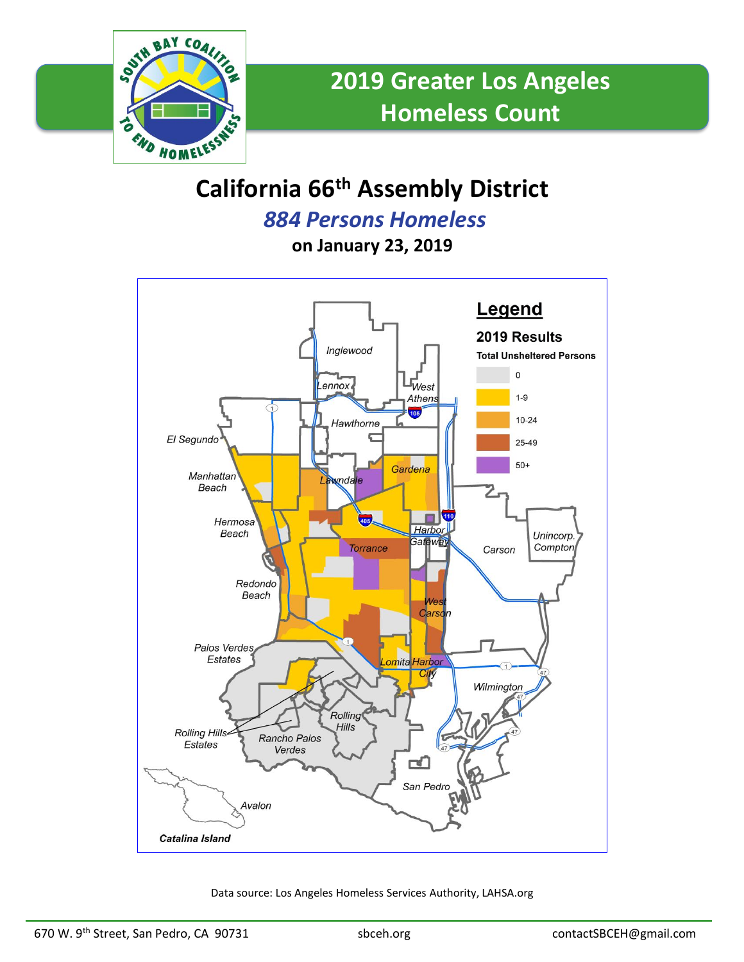

# **California 66th Assembly District**

*884 Persons Homeless*

**on January 23, 2019**



Data source: Los Angeles Homeless Services Authority, LAHSA.org